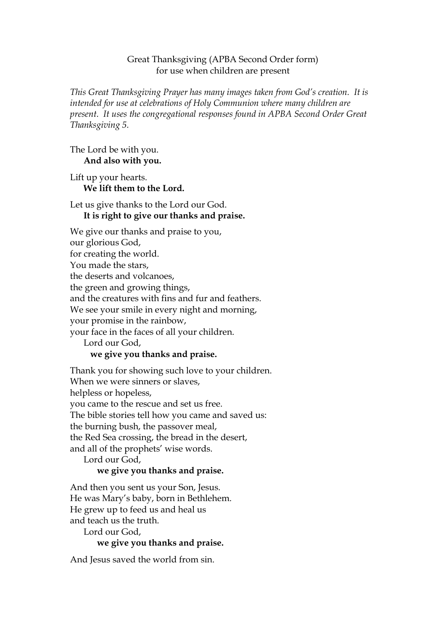#### Great Thanksgiving (APBA Second Order form) for use when children are present

*This Great Thanksgiving Prayer has many images taken from God's creation. It is intended for use at celebrations of Holy Communion where many children are present. It uses the congregational responses found in APBA Second Order Great Thanksgiving 5.*

The Lord be with you. **And also with you.**

Lift up your hearts. **We lift them to the Lord.**

## Let us give thanks to the Lord our God. **It is right to give our thanks and praise.**

We give our thanks and praise to you, our glorious God, for creating the world. You made the stars, the deserts and volcanoes, the green and growing things, and the creatures with fins and fur and feathers. We see your smile in every night and morning, your promise in the rainbow, your face in the faces of all your children. Lord our God, **we give you thanks and praise.**

Thank you for showing such love to your children. When we were sinners or slaves, helpless or hopeless, you came to the rescue and set us free. The bible stories tell how you came and saved us: the burning bush, the passover meal, the Red Sea crossing, the bread in the desert, and all of the prophets' wise words.

Lord our God,

# **we give you thanks and praise.**

And then you sent us your Son, Jesus. He was Mary's baby, born in Bethlehem. He grew up to feed us and heal us and teach us the truth.

Lord our God,

# **we give you thanks and praise.**

And Jesus saved the world from sin.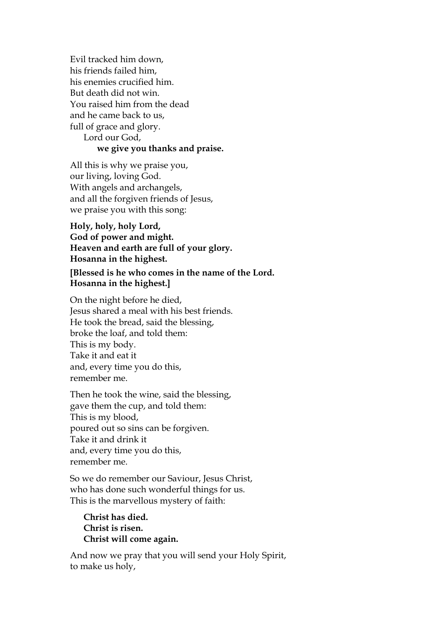Evil tracked him down, his friends failed him, his enemies crucified him. But death did not win. You raised him from the dead and he came back to us, full of grace and glory. Lord our God, **we give you thanks and praise.** 

All this is why we praise you, our living, loving God. With angels and archangels, and all the forgiven friends of Jesus, we praise you with this song:

**Holy, holy, holy Lord, God of power and might. Heaven and earth are full of your glory. Hosanna in the highest.**

**[Blessed is he who comes in the name of the Lord. Hosanna in the highest.]**

On the night before he died, Jesus shared a meal with his best friends. He took the bread, said the blessing, broke the loaf, and told them: This is my body. Take it and eat it and, every time you do this, remember me.

Then he took the wine, said the blessing, gave them the cup, and told them: This is my blood, poured out so sins can be forgiven. Take it and drink it and, every time you do this, remember me.

So we do remember our Saviour, Jesus Christ, who has done such wonderful things for us. This is the marvellous mystery of faith:

**Christ has died. Christ is risen. Christ will come again.**

And now we pray that you will send your Holy Spirit, to make us holy,